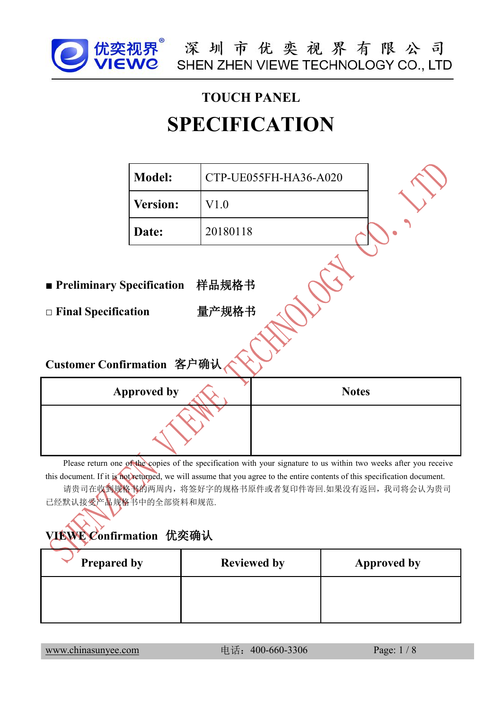

# **TOUCH PANEL SPECIFICATION**

|                                                                                               | <b>Model:</b>      |          | CTP-UE055FH-HA36-A020 |              |
|-----------------------------------------------------------------------------------------------|--------------------|----------|-----------------------|--------------|
|                                                                                               | Version:           | V1.0     |                       |              |
|                                                                                               | Date:              | 20180118 |                       |              |
| ■ Preliminary Specification 样品规格书<br>$\Box$ Final Specification<br>Customer Confirmation 客户确认 |                    | 量产规格书    |                       |              |
|                                                                                               | <b>Approved by</b> |          |                       | <b>Notes</b> |
|                                                                                               |                    |          |                       |              |

Please return one of the copies of the specification with your signature to us within two weeks after you receive this document. If it is not returned, we will assume that you agree to the entire contents of this specification document. 请贵司在收到规格书的两周内,将签好字的规格书原件或者复印件寄回.如果没有返回,我司将会认为贵司 已经默认接受产品规格书中的全部资料和规范.

#### **VIEWE Confirmation** 优奕确认

| <b>Prepared by</b> | <b>Reviewed by</b> | <b>Approved by</b> |  |
|--------------------|--------------------|--------------------|--|
|                    |                    |                    |  |
|                    |                    |                    |  |

[www.chinasunyee.com](http://www.chinasunyee.com) 电话:400-660-3306 Page: 1 / 8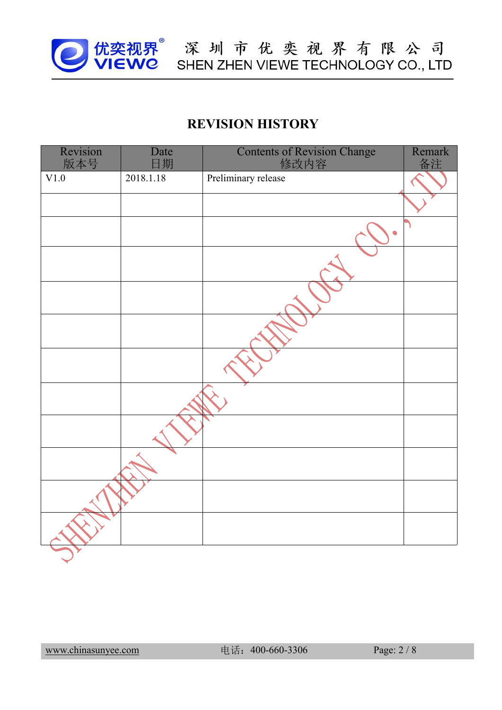

#### **REVISION HISTORY**

| Revision<br>版本号 | Date<br>日期 | Contents of Revision Change<br>修改内容 | Remark<br>备注 |  |
|-----------------|------------|-------------------------------------|--------------|--|
| V1.0            | 2018.1.18  | Preliminary release                 |              |  |
|                 |            |                                     |              |  |
|                 |            | $\bullet$                           |              |  |
|                 |            |                                     |              |  |
|                 |            |                                     |              |  |
|                 |            |                                     |              |  |
|                 |            |                                     |              |  |
|                 |            |                                     |              |  |
|                 |            |                                     |              |  |
|                 |            |                                     |              |  |
|                 |            |                                     |              |  |
|                 |            |                                     |              |  |
|                 |            |                                     |              |  |

[www.chinasunyee.com](http://www.chinasunyee.com) 电话:400-660-3306 Page: 2 / 8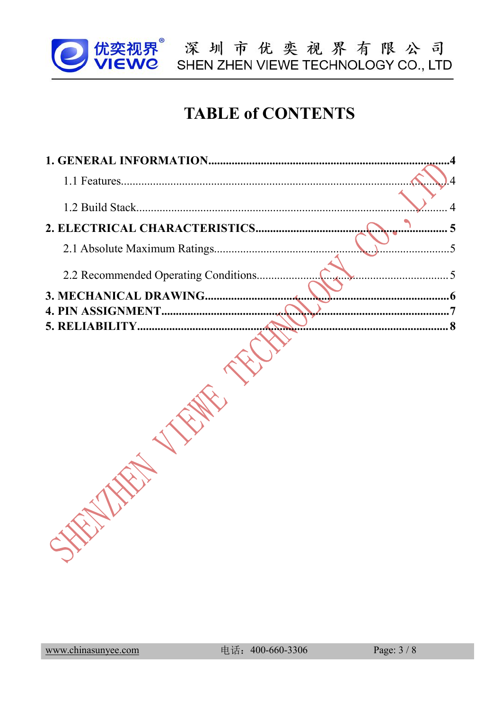

■ 优奕视界 深 圳 市 优 奕 视 界 有 限 公 司<br>■ VIEWC SHEN ZHEN VIEWE TECHNOLOGY CO., LTD

## **TABLE of CONTENTS**

| 2.2 Recommended Operating Conditions | $\overline{.5}$<br>$\blacktriangle$ $\blacktriangleright$ $\blacktriangleright$ |
|--------------------------------------|---------------------------------------------------------------------------------|
|                                      |                                                                                 |
|                                      |                                                                                 |
|                                      | 8                                                                               |
|                                      |                                                                                 |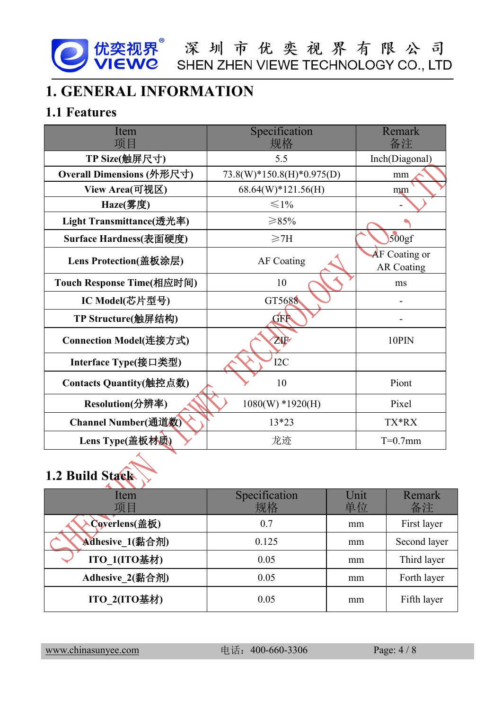

### <span id="page-3-0"></span>**1. GENERAL INFORMATION**

#### <span id="page-3-1"></span>**1.1 Features**

| Item<br>项目                     | Specification<br>规格         | <b>Remark</b><br>备注                       |  |
|--------------------------------|-----------------------------|-------------------------------------------|--|
| TP Size(触屏尺寸)                  | 5.5                         | Inch(Diagonal)                            |  |
| Overall Dimensions (外形尺寸)      | $73.8(W)*150.8(H)*0.975(D)$ | mm                                        |  |
| View Area(可视区)                 | $68.64(W)*121.56(H)$        | mm                                        |  |
| Haze(雾度)                       | $\leq 1\%$                  |                                           |  |
| Light Transmittance(透光率)       | ≥85%                        |                                           |  |
| Surface Hardness(表面硬度)         | $\geq$ 7H                   | 500gf                                     |  |
| Lens Protection(盖板涂层)          | AF Coating                  | <b>AF</b> Coating or<br><b>AR Coating</b> |  |
| Touch Response Time(相应时间)      | 10                          | ms                                        |  |
| IC Model(芯片型号)                 | GT5688                      |                                           |  |
| TP Structure(触屏结构)             | GRA                         |                                           |  |
| Connection Model(连接方式)         | ZIP                         | 10PIN                                     |  |
| Interface Type(接口类型)           | I <sub>2C</sub>             |                                           |  |
| <b>Contacts Quantity(触控点数)</b> | 10                          | Piont                                     |  |
| Resolution(分辨率)                | $1080(W) * 1920(H)$         | Pixel                                     |  |
| Channel Number(通道数)            | $13*23$                     | TX*RX                                     |  |
| Lens Type(盖板材质)                | 龙迹                          | $T=0.7$ mm                                |  |

## <span id="page-3-2"></span>**1.2 Build Stack**

| Item<br>项目      | Specification<br>规格 | Unit<br>单位 | Remark<br>备注 |
|-----------------|---------------------|------------|--------------|
| Coverlens(盖板)   | 0.7                 | mm         | First layer  |
| Adhesive_1(黏合剂) | 0.125               | mm         | Second layer |
| ITO 1(ITO基材)    | 0.05                | mm         | Third layer  |
| Adhesive_2(黏合剂) | 0.05                | mm         | Forth layer  |
| ITO 2(ITO基材)    | 0.05                | mm         | Fifth layer  |

[www.chinasunyee.com](http://www.chinasunyee.com) 电话:400-660-3306 Page: 4 / 8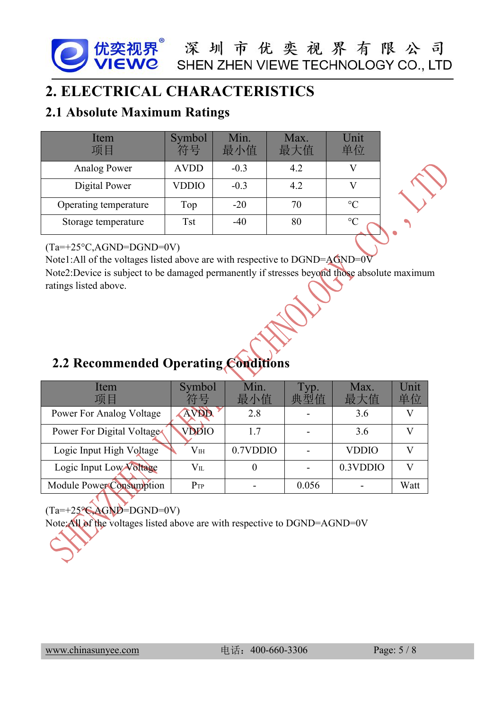#### <span id="page-4-0"></span>**2. ELECTRICAL CHARACTERISTICS**

#### **2.1 Absolute Maximum Ratings**

| Item<br>项目            | Symbol<br>符号 | Min.<br>最小值 | Max.<br>最大值 | Unit<br>单位      |  |
|-----------------------|--------------|-------------|-------------|-----------------|--|
| Analog Power          | <b>AVDD</b>  | $-0.3$      | 4.2         |                 |  |
| Digital Power         | <b>VDDIO</b> | $-0.3$      | 4.2         |                 |  |
| Operating temperature | Top          | $-20$       | 70          | $\rm ^{\circ}C$ |  |
| Storage temperature   | Tst          | -40         | 80          | $\rm ^{\circ}C$ |  |

#### $(Ta=+25\degree C, AGND=DGND=0V)$

Note1:All of the voltages listed above are with respective to DGND=AGND=0V Note2:Device is subject to be damaged permanently if stresses beyond those absolute maximum ratings listed above.

### **2.2 Recommended Operating Conditions**

| Item<br>项目                | Symbol<br>符号 | Min.<br>最小值 | Typ.<br>典型值 | Max.<br>最大值  | Unit<br>单位   |
|---------------------------|--------------|-------------|-------------|--------------|--------------|
| Power For Analog Voltage  | <b>AVDD</b>  | 2.8         |             | 3.6          | $\mathbf{V}$ |
| Power For Digital Voltage | <b>VDDIO</b> | 1.7         |             | 3.6          | $\mathbf{V}$ |
| Logic Input High Voltage  | $V_{\rm IH}$ | 0.7VDDIO    |             | <b>VDDIO</b> | $\mathbf{V}$ |
| Logic Input Low Voltage   | $V_{IL}$     |             |             | 0.3VDDIO     | V            |
| Module Power Consumption  | $P_{TP}$     | ۰.          | 0.056       |              | Watt         |

 $(Ta=+25^\circ \text{C}_{\text{AGND}})$ =DGND=0V)

Note:All of the voltages listed above are with respective to DGND=AGND=0V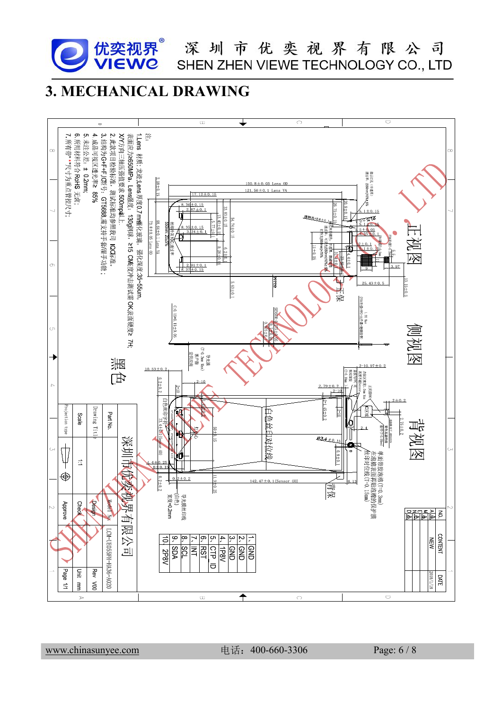

优奕视界<sup>®</sup> 深 圳 市 优 奕 视 界 有 限 公 司<br>VIEWC SHEN ZHEN VIEWE TECHNOLOGY CO., LTD

### <span id="page-5-0"></span>**3. MECHANICAL DRAWING**



[www.chinasunyee.com](http://www.chinasunyee.com) 电话:400-660-3306 Page: 6 / 8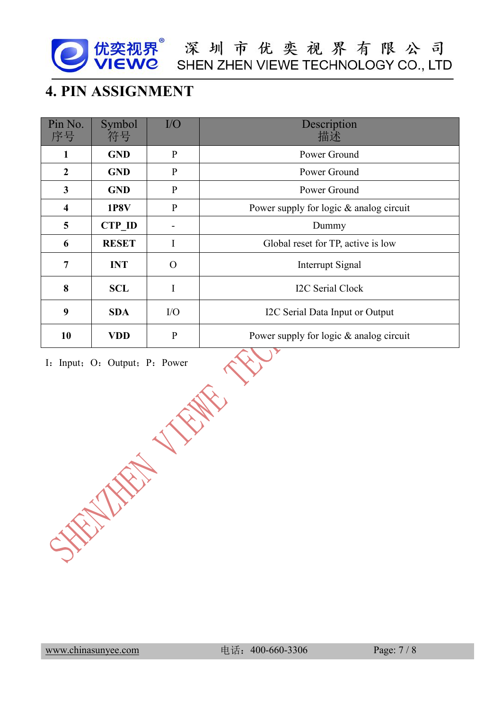

优奕视界<sup>®</sup> 深 圳 市 优 奕 视 界 有 限 公 司<br>VIEWC SHEN ZHEN VIEWE TECHNOLOGY CO., LTD

#### <span id="page-6-0"></span>**4. PIN ASSIGNMENT**